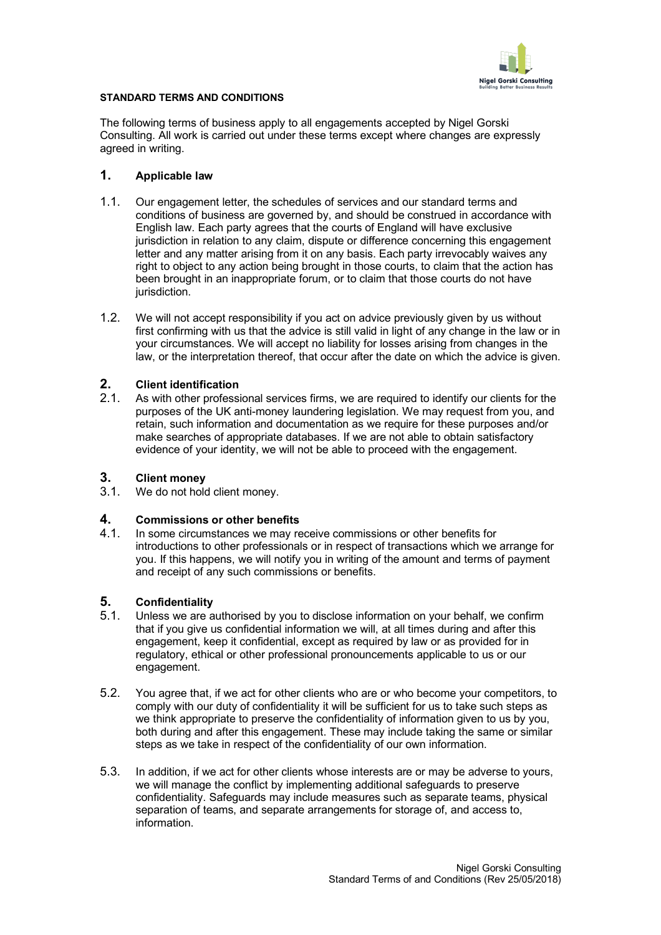

## **STANDARD TERMS AND CONDITIONS**

The following terms of business apply to all engagements accepted by Nigel Gorski Consulting. All work is carried out under these terms except where changes are expressly agreed in writing.

## **1. Applicable law**

- 1.1. Our engagement letter, the schedules of services and our standard terms and conditions of business are governed by, and should be construed in accordance with English law. Each party agrees that the courts of England will have exclusive jurisdiction in relation to any claim, dispute or difference concerning this engagement letter and any matter arising from it on any basis. Each party irrevocably waives any right to object to any action being brought in those courts, to claim that the action has been brought in an inappropriate forum, or to claim that those courts do not have jurisdiction.
- 1.2. We will not accept responsibility if you act on advice previously given by us without first confirming with us that the advice is still valid in light of any change in the law or in your circumstances. We will accept no liability for losses arising from changes in the law, or the interpretation thereof, that occur after the date on which the advice is given.

# **2. Client identification**

2.1. As with other professional services firms, we are required to identify our clients for the purposes of the UK anti-money laundering legislation. We may request from you, and retain, such information and documentation as we require for these purposes and/or make searches of appropriate databases. If we are not able to obtain satisfactory evidence of your identity, we will not be able to proceed with the engagement.

## **3. Client money**

3.1. We do not hold client money.

# **4. Commissions or other benefits**

4.1. In some circumstances we may receive commissions or other benefits for introductions to other professionals or in respect of transactions which we arrange for you. If this happens, we will notify you in writing of the amount and terms of payment and receipt of any such commissions or benefits.

# **5. Confidentiality**

- 5.1. Unless we are authorised by you to disclose information on your behalf, we confirm that if you give us confidential information we will, at all times during and after this engagement, keep it confidential, except as required by law or as provided for in regulatory, ethical or other professional pronouncements applicable to us or our engagement.
- 5.2. You agree that, if we act for other clients who are or who become your competitors, to comply with our duty of confidentiality it will be sufficient for us to take such steps as we think appropriate to preserve the confidentiality of information given to us by you, both during and after this engagement. These may include taking the same or similar steps as we take in respect of the confidentiality of our own information.
- 5.3. In addition, if we act for other clients whose interests are or may be adverse to yours, we will manage the conflict by implementing additional safeguards to preserve confidentiality. Safeguards may include measures such as separate teams, physical separation of teams, and separate arrangements for storage of, and access to, information.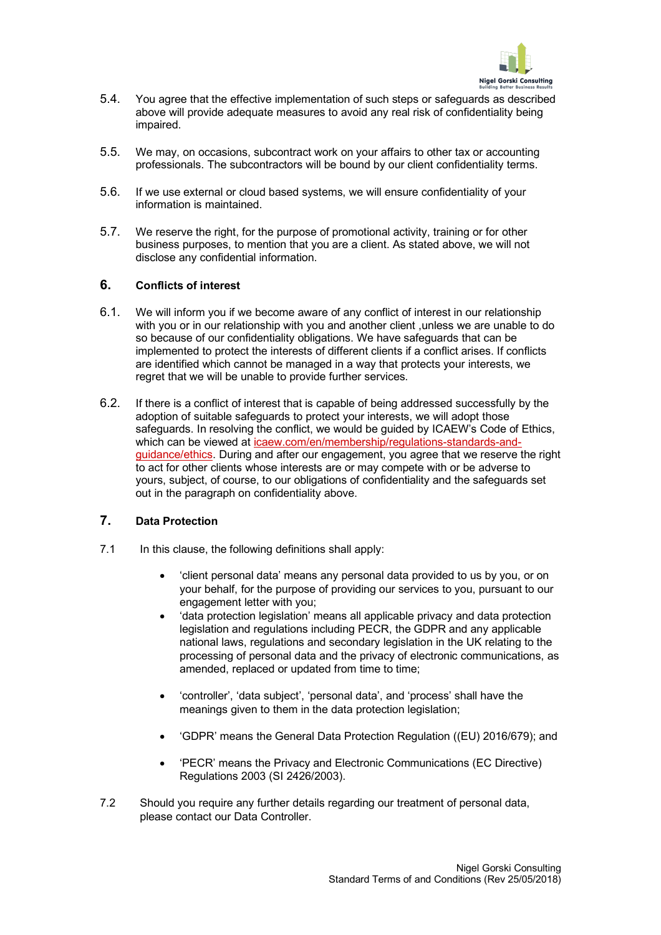

- 5.4. You agree that the effective implementation of such steps or safeguards as described above will provide adequate measures to avoid any real risk of confidentiality being impaired.
- 5.5. We may, on occasions, subcontract work on your affairs to other tax or accounting professionals. The subcontractors will be bound by our client confidentiality terms.
- 5.6. If we use external or cloud based systems, we will ensure confidentiality of your information is maintained.
- 5.7. We reserve the right, for the purpose of promotional activity, training or for other business purposes, to mention that you are a client. As stated above, we will not disclose any confidential information.

# **6. Conflicts of interest**

- 6.1. We will inform you if we become aware of any conflict of interest in our relationship with you or in our relationship with you and another client ,unless we are unable to do so because of our confidentiality obligations. We have safeguards that can be implemented to protect the interests of different clients if a conflict arises. If conflicts are identified which cannot be managed in a way that protects your interests, we regret that we will be unable to provide further services.
- 6.2. If there is a conflict of interest that is capable of being addressed successfully by the adoption of suitable safeguards to protect your interests, we will adopt those safeguards. In resolving the conflict, we would be guided by ICAEW's Code of Ethics, which can be viewed at icaew.com/en/membership/regulations-standards-andguidance/ethics. During and after our engagement, you agree that we reserve the right to act for other clients whose interests are or may compete with or be adverse to yours, subject, of course, to our obligations of confidentiality and the safeguards set out in the paragraph on confidentiality above.

# **7. Data Protection**

- 7.1 In this clause, the following definitions shall apply:
	- 'client personal data' means any personal data provided to us by you, or on your behalf, for the purpose of providing our services to you, pursuant to our engagement letter with you;
	- 'data protection legislation' means all applicable privacy and data protection legislation and regulations including PECR, the GDPR and any applicable national laws, regulations and secondary legislation in the UK relating to the processing of personal data and the privacy of electronic communications, as amended, replaced or updated from time to time;
	- 'controller', 'data subject', 'personal data', and 'process' shall have the meanings given to them in the data protection legislation;
	- 'GDPR' means the General Data Protection Regulation ((EU) 2016/679); and
	- 'PECR' means the Privacy and Electronic Communications (EC Directive) Regulations 2003 (SI 2426/2003).
- 7.2 Should you require any further details regarding our treatment of personal data, please contact our Data Controller.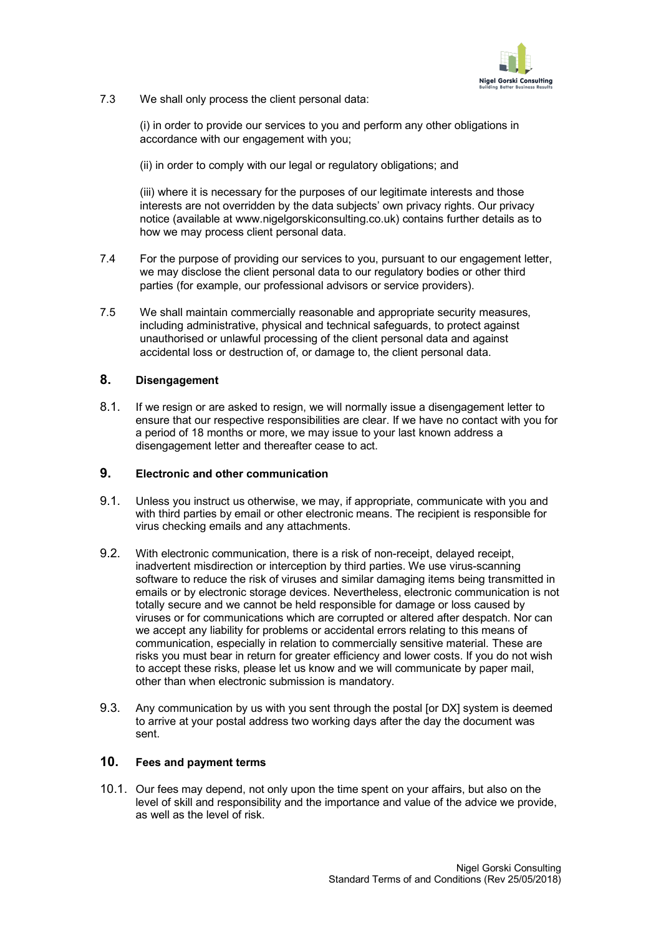

7.3 We shall only process the client personal data:

(i) in order to provide our services to you and perform any other obligations in accordance with our engagement with you;

(ii) in order to comply with our legal or regulatory obligations; and

(iii) where it is necessary for the purposes of our legitimate interests and those interests are not overridden by the data subjects' own privacy rights. Our privacy notice (available at www.nigelgorskiconsulting.co.uk) contains further details as to how we may process client personal data.

- 7.4 For the purpose of providing our services to you, pursuant to our engagement letter, we may disclose the client personal data to our regulatory bodies or other third parties (for example, our professional advisors or service providers).
- 7.5 We shall maintain commercially reasonable and appropriate security measures, including administrative, physical and technical safeguards, to protect against unauthorised or unlawful processing of the client personal data and against accidental loss or destruction of, or damage to, the client personal data.

# **8. Disengagement**

8.1. If we resign or are asked to resign, we will normally issue a disengagement letter to ensure that our respective responsibilities are clear. If we have no contact with you for a period of 18 months or more, we may issue to your last known address a disengagement letter and thereafter cease to act.

# **9. Electronic and other communication**

- 9.1. Unless you instruct us otherwise, we may, if appropriate, communicate with you and with third parties by email or other electronic means. The recipient is responsible for virus checking emails and any attachments.
- 9.2. With electronic communication, there is a risk of non-receipt, delayed receipt, inadvertent misdirection or interception by third parties. We use virus-scanning software to reduce the risk of viruses and similar damaging items being transmitted in emails or by electronic storage devices. Nevertheless, electronic communication is not totally secure and we cannot be held responsible for damage or loss caused by viruses or for communications which are corrupted or altered after despatch. Nor can we accept any liability for problems or accidental errors relating to this means of communication, especially in relation to commercially sensitive material. These are risks you must bear in return for greater efficiency and lower costs. If you do not wish to accept these risks, please let us know and we will communicate by paper mail, other than when electronic submission is mandatory.
- 9.3. Any communication by us with you sent through the postal [or DX] system is deemed to arrive at your postal address two working days after the day the document was sent.

# **10. Fees and payment terms**

10.1. Our fees may depend, not only upon the time spent on your affairs, but also on the level of skill and responsibility and the importance and value of the advice we provide, as well as the level of risk.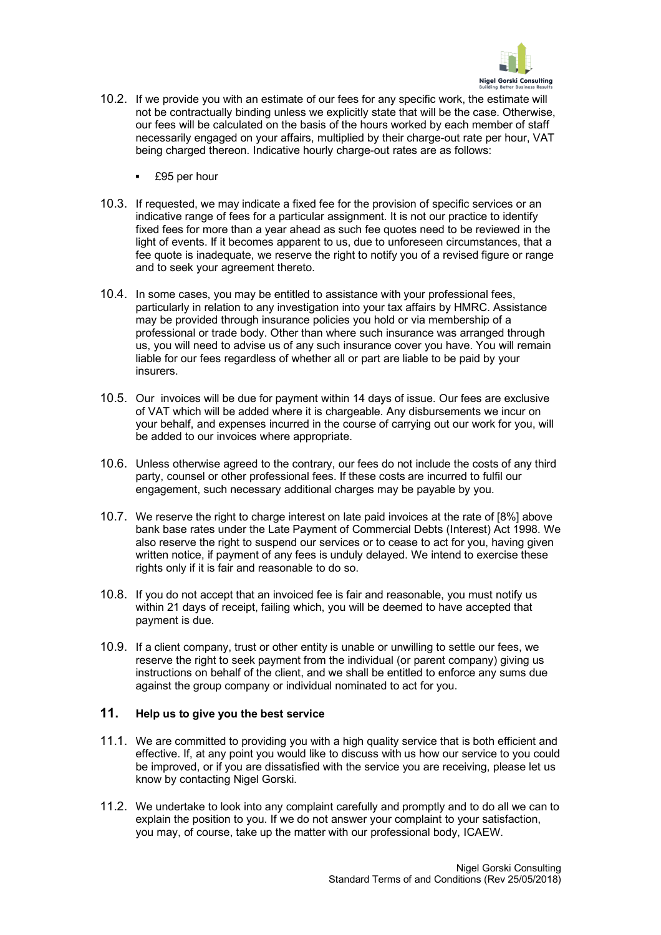

- 10.2. If we provide you with an estimate of our fees for any specific work, the estimate will not be contractually binding unless we explicitly state that will be the case. Otherwise, our fees will be calculated on the basis of the hours worked by each member of staff necessarily engaged on your affairs, multiplied by their charge-out rate per hour, VAT being charged thereon. Indicative hourly charge-out rates are as follows:
	- § £95 per hour
- 10.3. If requested, we may indicate a fixed fee for the provision of specific services or an indicative range of fees for a particular assignment. It is not our practice to identify fixed fees for more than a year ahead as such fee quotes need to be reviewed in the light of events. If it becomes apparent to us, due to unforeseen circumstances, that a fee quote is inadequate, we reserve the right to notify you of a revised figure or range and to seek your agreement thereto.
- 10.4. In some cases, you may be entitled to assistance with your professional fees, particularly in relation to any investigation into your tax affairs by HMRC. Assistance may be provided through insurance policies you hold or via membership of a professional or trade body. Other than where such insurance was arranged through us, you will need to advise us of any such insurance cover you have. You will remain liable for our fees regardless of whether all or part are liable to be paid by your insurers.
- 10.5. Our invoices will be due for payment within 14 days of issue. Our fees are exclusive of VAT which will be added where it is chargeable. Any disbursements we incur on your behalf, and expenses incurred in the course of carrying out our work for you, will be added to our invoices where appropriate.
- 10.6. Unless otherwise agreed to the contrary, our fees do not include the costs of any third party, counsel or other professional fees. If these costs are incurred to fulfil our engagement, such necessary additional charges may be payable by you.
- 10.7. We reserve the right to charge interest on late paid invoices at the rate of [8%] above bank base rates under the Late Payment of Commercial Debts (Interest) Act 1998. We also reserve the right to suspend our services or to cease to act for you, having given written notice, if payment of any fees is unduly delayed. We intend to exercise these rights only if it is fair and reasonable to do so.
- 10.8. If you do not accept that an invoiced fee is fair and reasonable, you must notify us within 21 days of receipt, failing which, you will be deemed to have accepted that payment is due.
- 10.9. If a client company, trust or other entity is unable or unwilling to settle our fees, we reserve the right to seek payment from the individual (or parent company) giving us instructions on behalf of the client, and we shall be entitled to enforce any sums due against the group company or individual nominated to act for you.

## **11. Help us to give you the best service**

- 11.1. We are committed to providing you with a high quality service that is both efficient and effective. If, at any point you would like to discuss with us how our service to you could be improved, or if you are dissatisfied with the service you are receiving, please let us know by contacting Nigel Gorski.
- 11.2. We undertake to look into any complaint carefully and promptly and to do all we can to explain the position to you. If we do not answer your complaint to your satisfaction, you may, of course, take up the matter with our professional body, ICAEW.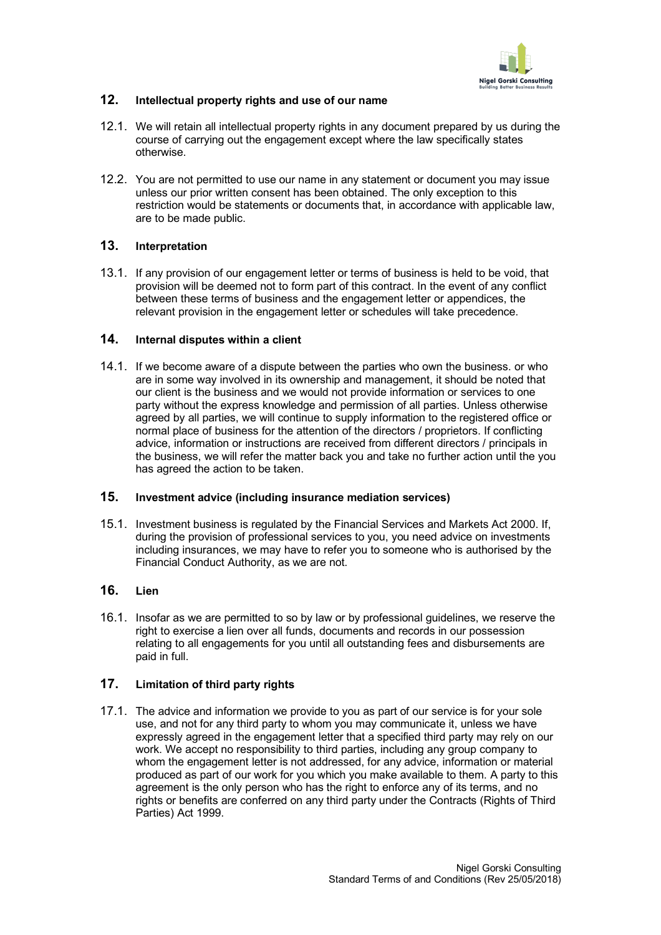

# **12. Intellectual property rights and use of our name**

- 12.1. We will retain all intellectual property rights in any document prepared by us during the course of carrying out the engagement except where the law specifically states otherwise.
- 12.2. You are not permitted to use our name in any statement or document you may issue unless our prior written consent has been obtained. The only exception to this restriction would be statements or documents that, in accordance with applicable law, are to be made public.

## **13. Interpretation**

13.1. If any provision of our engagement letter or terms of business is held to be void, that provision will be deemed not to form part of this contract. In the event of any conflict between these terms of business and the engagement letter or appendices, the relevant provision in the engagement letter or schedules will take precedence.

# **14. Internal disputes within a client**

14.1. If we become aware of a dispute between the parties who own the business. or who are in some way involved in its ownership and management, it should be noted that our client is the business and we would not provide information or services to one party without the express knowledge and permission of all parties. Unless otherwise agreed by all parties, we will continue to supply information to the registered office or normal place of business for the attention of the directors / proprietors. If conflicting advice, information or instructions are received from different directors / principals in the business, we will refer the matter back you and take no further action until the you has agreed the action to be taken.

## **15. Investment advice (including insurance mediation services)**

15.1. Investment business is regulated by the Financial Services and Markets Act 2000. If, during the provision of professional services to you, you need advice on investments including insurances, we may have to refer you to someone who is authorised by the Financial Conduct Authority, as we are not.

# **16. Lien**

16.1. Insofar as we are permitted to so by law or by professional guidelines, we reserve the right to exercise a lien over all funds, documents and records in our possession relating to all engagements for you until all outstanding fees and disbursements are paid in full.

## **17. Limitation of third party rights**

17.1. The advice and information we provide to you as part of our service is for your sole use, and not for any third party to whom you may communicate it, unless we have expressly agreed in the engagement letter that a specified third party may rely on our work. We accept no responsibility to third parties, including any group company to whom the engagement letter is not addressed, for any advice, information or material produced as part of our work for you which you make available to them. A party to this agreement is the only person who has the right to enforce any of its terms, and no rights or benefits are conferred on any third party under the Contracts (Rights of Third Parties) Act 1999.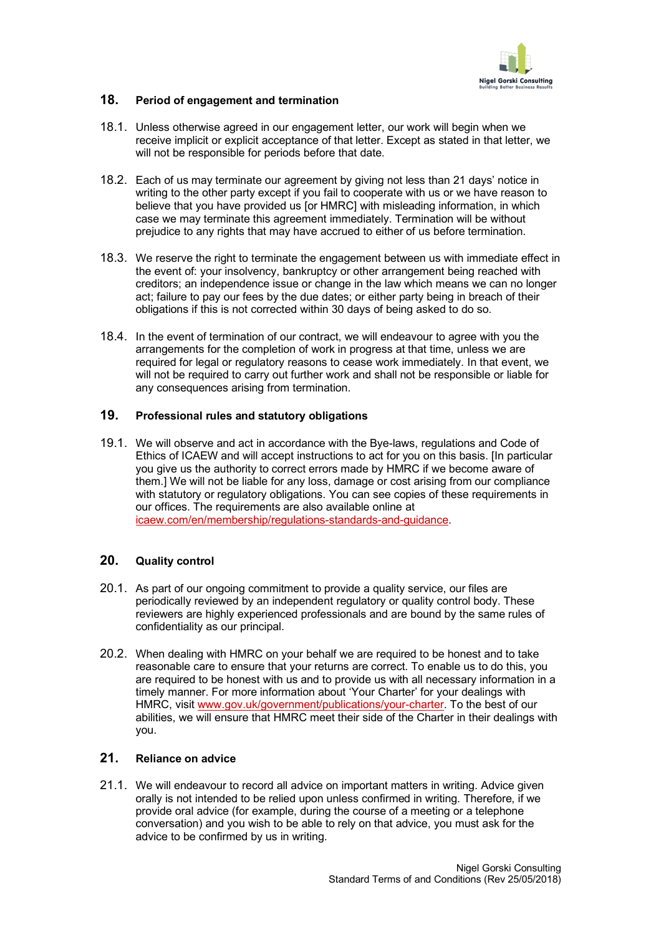

# **18. Period of engagement and termination**

- 18.1. Unless otherwise agreed in our engagement letter, our work will begin when we receive implicit or explicit acceptance of that letter. Except as stated in that letter, we will not be responsible for periods before that date.
- 18.2. Each of us may terminate our agreement by giving not less than 21 days' notice in writing to the other party except if you fail to cooperate with us or we have reason to believe that you have provided us [or HMRC] with misleading information, in which case we may terminate this agreement immediately. Termination will be without prejudice to any rights that may have accrued to either of us before termination.
- 18.3. We reserve the right to terminate the engagement between us with immediate effect in the event of: your insolvency, bankruptcy or other arrangement being reached with creditors; an independence issue or change in the law which means we can no longer act; failure to pay our fees by the due dates; or either party being in breach of their obligations if this is not corrected within 30 days of being asked to do so.
- 18.4. In the event of termination of our contract, we will endeavour to agree with you the arrangements for the completion of work in progress at that time, unless we are required for legal or regulatory reasons to cease work immediately. In that event, we will not be required to carry out further work and shall not be responsible or liable for any consequences arising from termination.

## **19. Professional rules and statutory obligations**

19.1. We will observe and act in accordance with the Bye-laws, regulations and Code of Ethics of ICAEW and will accept instructions to act for you on this basis. [In particular you give us the authority to correct errors made by HMRC if we become aware of them.] We will not be liable for any loss, damage or cost arising from our compliance with statutory or regulatory obligations. You can see copies of these requirements in our offices. The requirements are also available online at icaew.com/en/membership/regulations-standards-and-guidance.

## **20. Quality control**

- 20.1. As part of our ongoing commitment to provide a quality service, our files are periodically reviewed by an independent regulatory or quality control body. These reviewers are highly experienced professionals and are bound by the same rules of confidentiality as our principal.
- 20.2. When dealing with HMRC on your behalf we are required to be honest and to take reasonable care to ensure that your returns are correct. To enable us to do this, you are required to be honest with us and to provide us with all necessary information in a timely manner. For more information about 'Your Charter' for your dealings with HMRC, visit www.gov.uk/government/publications/your-charter. To the best of our abilities, we will ensure that HMRC meet their side of the Charter in their dealings with you.

## **21. Reliance on advice**

21.1. We will endeavour to record all advice on important matters in writing. Advice given orally is not intended to be relied upon unless confirmed in writing. Therefore, if we provide oral advice (for example, during the course of a meeting or a telephone conversation) and you wish to be able to rely on that advice, you must ask for the advice to be confirmed by us in writing.